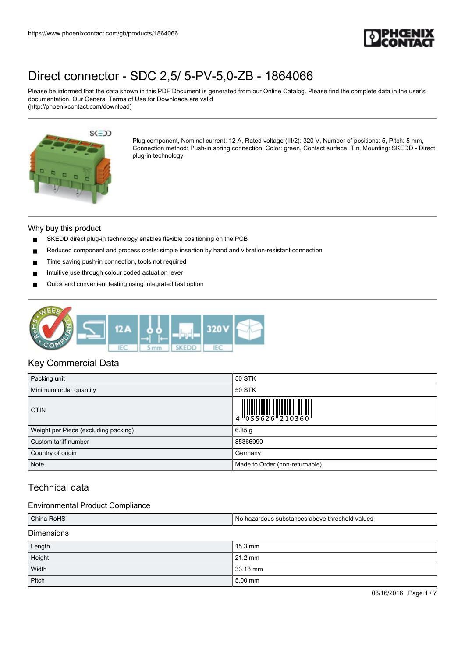

Please be informed that the data shown in this PDF Document is generated from our Online Catalog. Please find the complete data in the user's documentation. Our General Terms of Use for Downloads are valid (http://phoenixcontact.com/download)



Plug component, Nominal current: 12 A, Rated voltage (III/2): 320 V, Number of positions: 5, Pitch: 5 mm, Connection method: Push-in spring connection, Color: green, Contact surface: Tin, Mounting: SKEDD - Direct plug-in technology

### Why buy this product

- SKEDD direct plug-in technology enables flexible positioning on the PCB
- Reduced component and process costs: simple insertion by hand and vibration-resistant connection
- Time saving push-in connection, tools not required
- Intuitive use through colour coded actuation lever
- Quick and convenient testing using integrated test option



## Key Commercial Data

| Packing unit                         | 50 STK                                                                                                                                                                                                                                                                                                                         |
|--------------------------------------|--------------------------------------------------------------------------------------------------------------------------------------------------------------------------------------------------------------------------------------------------------------------------------------------------------------------------------|
| Minimum order quantity               | 50 STK                                                                                                                                                                                                                                                                                                                         |
| <b>GTIN</b>                          | $\begin{array}{c} 1 & 0 & 0 & 0 \\ 0 & 0 & 0 & 0 \\ 0 & 0 & 0 & 0 \\ 0 & 0 & 0 & 0 \\ 0 & 0 & 0 & 0 \\ 0 & 0 & 0 & 0 \\ 0 & 0 & 0 & 0 \\ 0 & 0 & 0 & 0 \\ 0 & 0 & 0 & 0 \\ 0 & 0 & 0 & 0 \\ 0 & 0 & 0 & 0 \\ 0 & 0 & 0 & 0 \\ 0 & 0 & 0 & 0 \\ 0 & 0 & 0 & 0 & 0 \\ 0 & 0 & 0 & 0 & 0 \\ 0 & 0 & 0 & 0 & 0 \\ 0 & 0 & 0 & 0 &$ |
| Weight per Piece (excluding packing) | 6.85g                                                                                                                                                                                                                                                                                                                          |
| Custom tariff number                 | 85366990                                                                                                                                                                                                                                                                                                                       |
| Country of origin                    | Germany                                                                                                                                                                                                                                                                                                                        |
| Note                                 | Made to Order (non-returnable)                                                                                                                                                                                                                                                                                                 |

## Technical data

#### Environmental Product Compliance

| China RoHS        | No hazardous substances above threshold values |  |
|-------------------|------------------------------------------------|--|
| <b>Dimensions</b> |                                                |  |
| Length            | $15.3$ mm                                      |  |
| Height            | $21.2 \text{ mm}$                              |  |
| Width             | 33.18 mm                                       |  |
| Pitch             | 5.00 mm                                        |  |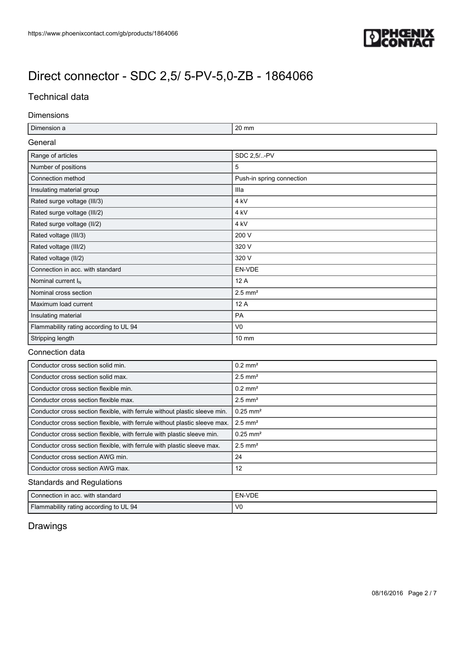

## Technical data

#### Dimensions

| )ır<br>.sio | n٢<br>mm. |
|-------------|-----------|
|             |           |

### General

| Range of articles                      | SDC 2,5/-PV               |  |
|----------------------------------------|---------------------------|--|
| Number of positions                    | 5                         |  |
| Connection method                      | Push-in spring connection |  |
| Insulating material group              | Illa                      |  |
| Rated surge voltage (III/3)            | 4 kV                      |  |
| Rated surge voltage (III/2)            | 4 kV                      |  |
| Rated surge voltage (II/2)             | 4 kV                      |  |
| Rated voltage (III/3)                  | 200 V                     |  |
| Rated voltage (III/2)                  | 320 V                     |  |
| Rated voltage (II/2)                   | 320 V                     |  |
| Connection in acc. with standard       | EN-VDE                    |  |
| Nominal current $I_N$                  | 12 A                      |  |
| Nominal cross section                  | $2.5$ mm <sup>2</sup>     |  |
| Maximum load current                   | 12 A                      |  |
| Insulating material                    | PA                        |  |
| Flammability rating according to UL 94 | V <sub>0</sub>            |  |
| Stripping length                       | 10 mm                     |  |

#### Connection data

| Conductor cross section solid min.                                         | $0.2$ mm <sup>2</sup>  |
|----------------------------------------------------------------------------|------------------------|
| Conductor cross section solid max.                                         | $2.5$ mm <sup>2</sup>  |
| Conductor cross section flexible min.                                      | $0.2$ mm <sup>2</sup>  |
| Conductor cross section flexible max.                                      | $2.5$ mm <sup>2</sup>  |
| Conductor cross section flexible, with ferrule without plastic sleeve min. | $0.25$ mm <sup>2</sup> |
| Conductor cross section flexible, with ferrule without plastic sleeve max. | $2.5$ mm <sup>2</sup>  |
| Conductor cross section flexible, with ferrule with plastic sleeve min.    | $0.25$ mm <sup>2</sup> |
| Conductor cross section flexible, with ferrule with plastic sleeve max.    | $2.5$ mm <sup>2</sup>  |
| Conductor cross section AWG min.                                           | 24                     |
| Conductor cross section AWG max.                                           | 12                     |

## Standards and Regulations

| Connection in acc. with standard              | EN-VDE |
|-----------------------------------------------|--------|
| <b>Flammability rating according to UL 94</b> | V0     |

# Drawings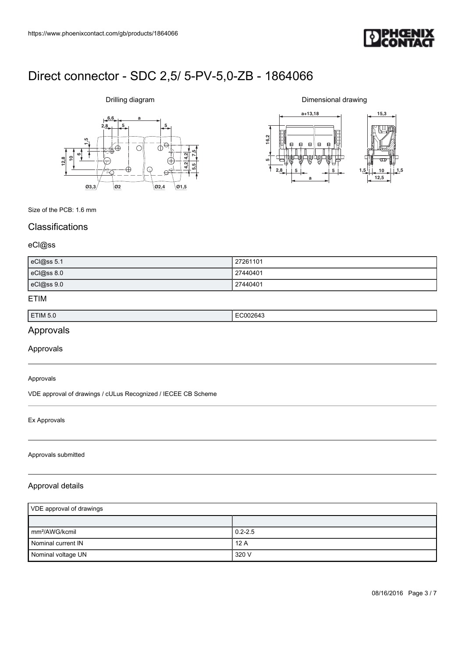

# **6,6 a**  $2,8$   $5$ **612,810 1,5 7,5 5,5 4,2 4,2 Ø3,3 Ø2 Ø2,4 Ø1,5**

Drilling diagram

Dimensional drawing



Size of the PCB: 1.6 mm

## **Classifications**

#### eCl@ss

| eCl@ss 5.1 | 27261101 |
|------------|----------|
| eCl@ss 8.0 | 27440401 |
| eCl@ss 9.0 | 27440401 |

### ETIM

| $T$ TIM 5. | ״<br>ш.<br>.∪204.י<br>. |
|------------|-------------------------|
|            |                         |

# Approvals

Approvals

#### Approvals

VDE approval of drawings / cULus Recognized / IECEE CB Scheme

### Ex Approvals

#### Approvals submitted

### Approval details

| VDE approval of drawings    |             |
|-----------------------------|-------------|
|                             |             |
| $\mathsf{Imm}^2$ /AWG/kcmil | $0.2 - 2.5$ |
| Nominal current IN          | 12A         |
| Nominal voltage UN          | 320 V       |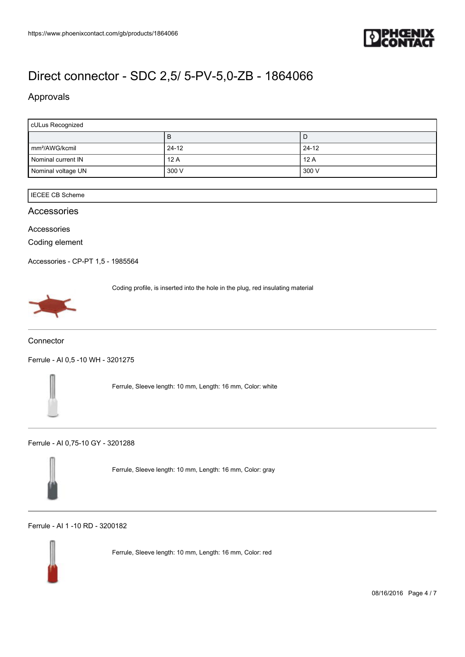

# Approvals

| cULus Recognized           |           |       |
|----------------------------|-----------|-------|
|                            | в         | P     |
| mm <sup>2</sup> /AWG/kcmil | $24 - 12$ | 24-12 |
| Nominal current IN         | 12A       | 12A   |
| Nominal voltage UN         | 300 V     | 300 V |

#### IECEE CB Scheme

### Accessories

#### Accessories

Coding element

[Accessories - CP-PT 1,5 - 1985564](https://www.phoenixcontact.com/gb/products/1985564)

Coding profile, is inserted into the hole in the plug, red insulating material



**Connector** 

[Ferrule - AI 0,5 -10 WH - 3201275](https://www.phoenixcontact.com/gb/products/3201275)



Ferrule, Sleeve length: 10 mm, Length: 16 mm, Color: white

[Ferrule - AI 0,75-10 GY - 3201288](https://www.phoenixcontact.com/gb/products/3201288)



Ferrule, Sleeve length: 10 mm, Length: 16 mm, Color: gray

[Ferrule - AI 1 -10 RD - 3200182](https://www.phoenixcontact.com/gb/products/3200182)



Ferrule, Sleeve length: 10 mm, Length: 16 mm, Color: red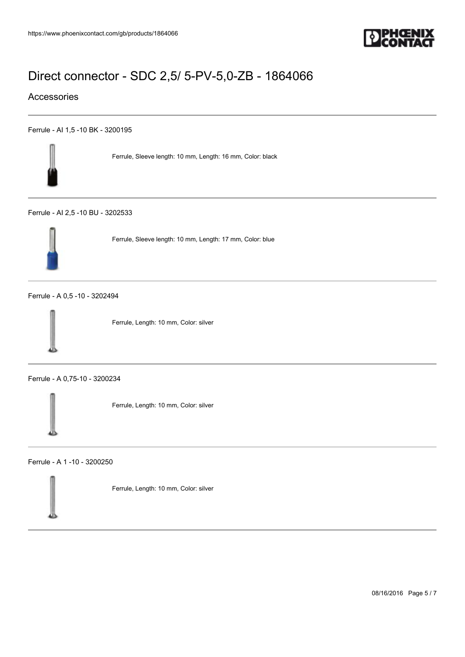

## Accessories

[Ferrule - AI 1,5 -10 BK - 3200195](https://www.phoenixcontact.com/gb/products/3200195)



Ferrule, Sleeve length: 10 mm, Length: 16 mm, Color: black

#### [Ferrule - AI 2,5 -10 BU - 3202533](https://www.phoenixcontact.com/gb/products/3202533)



Ferrule, Sleeve length: 10 mm, Length: 17 mm, Color: blue

#### [Ferrule - A 0,5 -10 - 3202494](https://www.phoenixcontact.com/gb/products/3202494)



Ferrule, Length: 10 mm, Color: silver

[Ferrule - A 0,75-10 - 3200234](https://www.phoenixcontact.com/gb/products/3200234)



Ferrule, Length: 10 mm, Color: silver

#### [Ferrule - A 1 -10 - 3200250](https://www.phoenixcontact.com/gb/products/3200250)

Ferrule, Length: 10 mm, Color: silver

08/16/2016 Page 5 / 7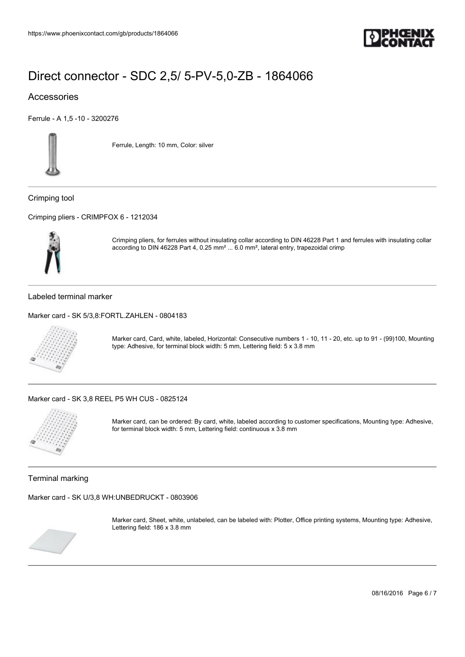

## Accessories

[Ferrule - A 1,5 -10 - 3200276](https://www.phoenixcontact.com/gb/products/3200276)



Ferrule, Length: 10 mm, Color: silver

Crimping tool

[Crimping pliers - CRIMPFOX 6 - 1212034](https://www.phoenixcontact.com/gb/products/1212034)



Crimping pliers, for ferrules without insulating collar according to DIN 46228 Part 1 and ferrules with insulating collar according to DIN 46228 Part 4, 0.25 mm² ... 6.0 mm², lateral entry, trapezoidal crimp

Labeled terminal marker

[Marker card - SK 5/3,8:FORTL.ZAHLEN - 0804183](https://www.phoenixcontact.com/gb/products/0804183)



Marker card, Card, white, labeled, Horizontal: Consecutive numbers 1 - 10, 11 - 20, etc. up to 91 - (99)100, Mounting type: Adhesive, for terminal block width: 5 mm, Lettering field: 5 x 3.8 mm

[Marker card - SK 3,8 REEL P5 WH CUS - 0825124](https://www.phoenixcontact.com/gb/products/0825124)



Marker card, can be ordered: By card, white, labeled according to customer specifications, Mounting type: Adhesive, for terminal block width: 5 mm, Lettering field: continuous x 3.8 mm

Terminal marking

[Marker card - SK U/3,8 WH:UNBEDRUCKT - 0803906](https://www.phoenixcontact.com/gb/products/0803906)



Marker card, Sheet, white, unlabeled, can be labeled with: Plotter, Office printing systems, Mounting type: Adhesive, Lettering field: 186 x 3.8 mm